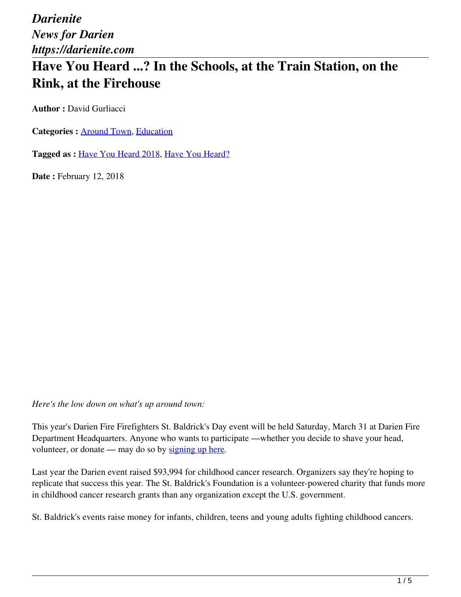*Darienite News for Darien https://darienite.com*

## **Have You Heard ...? In the Schools, at the Train Station, on the Rink, at the Firehouse**

**Author : David Gurliacci** 

Categories : **Around Town**, **Education** 

**Tagged as :** Have You Heard 2018, Have You Heard?

**Date : February 12, 2018** 

*Here's the low down on what's up around town:*

This year's Darien Fire Firefighters St. Baldrick's Day event will be held Saturday, March 31 at Darien Fire Department Headquarters. Anyone who wants to participate —whether you decide to shave your head, volunteer, or donate — may do so by signing up here.

Last year the Darien event raised \$93,994 for childhood cancer research. Organizers say they're hoping to replicate that success this year. The St. Baldrick's Foundation is a volunteer-powered charity that funds more in childhood cancer research grants than any organization except the U.S. government.

St. Baldrick's events raise money for infants, children, teens and young adults fighting childhood cancers.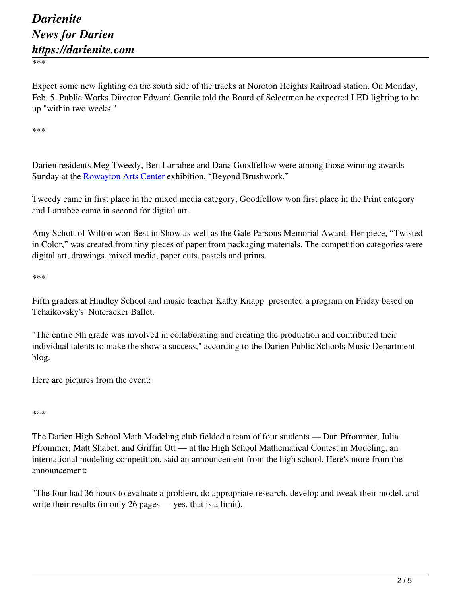\*\*\*

Expect some new lighting on the south side of the tracks at Noroton Heights Railroad station. On Monday, Feb. 5, Public Works Director Edward Gentile told the Board of Selectmen he expected LED lighting to be up "within two weeks."

\*\*\*

Darien residents Meg Tweedy, Ben Larrabee and Dana Goodfellow were among those winning awards Sunday at the Rowayton Arts Center exhibition, "Beyond Brushwork."

Tweedy came in first place in the mixed media category; Goodfellow won first place in the Print category and Larrabee came in second for digital art.

Amy Schott of Wilton won Best in Show as well as the Gale Parsons Memorial Award. Her piece, "Twisted in Color," was created from tiny pieces of paper from packaging materials. The competition categories were digital art, drawings, mixed media, paper cuts, pastels and prints.

\*\*\*

Fifth graders at Hindley School and music teacher Kathy Knapp presented a program on Friday based on Tchaikovsky's Nutcracker Ballet.

"The entire 5th grade was involved in collaborating and creating the production and contributed their individual talents to make the show a success," according to the Darien Public Schools Music Department blog.

Here are pictures from the event:

\*\*\*

The Darien High School Math Modeling club fielded a team of four students — Dan Pfrommer, Julia Pfrommer, Matt Shabet, and Griffin Ott — at the High School Mathematical Contest in Modeling, an international modeling competition, said an announcement from the high school. Here's more from the announcement:

"The four had 36 hours to evaluate a problem, do appropriate research, develop and tweak their model, and write their results (in only 26 pages — yes, that is a limit).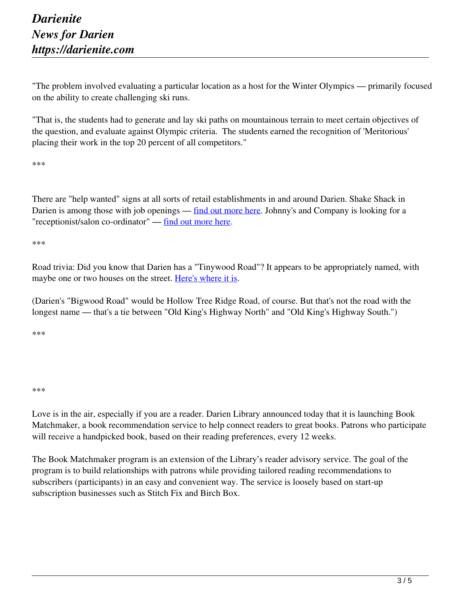"The problem involved evaluating a particular location as a host for the Winter Olympics — primarily focused on the ability to create challenging ski runs.

"That is, the students had to generate and lay ski paths on mountainous terrain to meet certain objectives of the question, and evaluate against Olympic criteria. The students earned the recognition of 'Meritorious' placing their work in the top 20 percent of all competitors."

\*\*\*

There are "help wanted" signs at all sorts of retail establishments in and around Darien. Shake Shack in Darien is among those with job openings — find out more here. Johnny's and Company is looking for a "receptionist/salon co-ordinator" — find out more here.

\*\*\*

Road trivia: Did you know that Darien has a "Tinywood Road"? It appears to be appropriately named, with maybe one or two houses on the street. Here's where it is.

(Darien's "Bigwood Road" would be Hollow Tree Ridge Road, of course. But that's not the road with the longest name — that's a tie between "Old King's Highway North" and "Old King's Highway South.")

\*\*\*

## \*\*\*

Love is in the air, especially if you are a reader. Darien Library announced today that it is launching Book Matchmaker, a book recommendation service to help connect readers to great books. Patrons who participate will receive a handpicked book, based on their reading preferences, every 12 weeks.

The Book Matchmaker program is an extension of the Library's reader advisory service. The goal of the program is to build relationships with patrons while providing tailored reading recommendations to subscribers (participants) in an easy and convenient way. The service is loosely based on start-up subscription businesses such as Stitch Fix and Birch Box.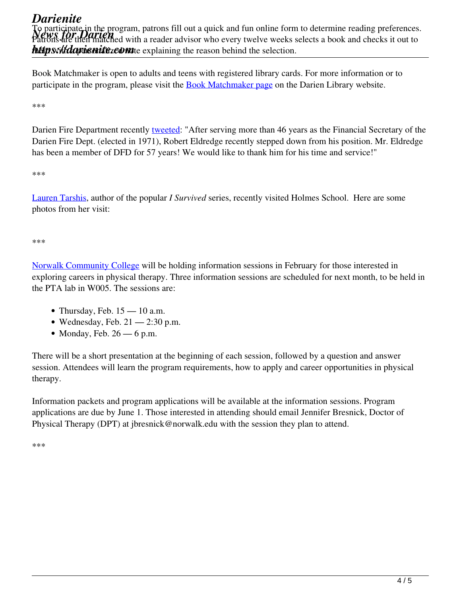*Darienite News for Darien* Patrons are then matched with a reader advisor who every twelve weeks selects a book and checks it out to *https://dapienitezeont*e explaining the reason behind the selection. To participate in the program, patrons fill out a quick and fun online form to determine reading preferences.

Book Matchmaker is open to adults and teens with registered library cards. For more information or to participate in the program, please visit the **Book Matchmaker page** on the Darien Library website.

\*\*\*

Darien Fire Department recently tweeted: "After serving more than 46 years as the Financial Secretary of the Darien Fire Dept. (elected in 1971), Robert Eldredge recently stepped down from his position. Mr. Eldredge has been a member of DFD for 57 years! We would like to thank him for his time and service!"

\*\*\*

Lauren Tarshis, author of the popular *I Survived* series, recently visited Holmes School. Here are some photos from her visit:

\*\*\*

Norwalk Community College will be holding information sessions in February for those interested in exploring careers in physical therapy. Three information sessions are scheduled for next month, to be held in the PTA lab in W005. The sessions are:

- Thursday, Feb.  $15 10$  a.m.
- Wednesday, Feb.  $21 2:30$  p.m.
- Monday, Feb.  $26 6$  p.m.

There will be a short presentation at the beginning of each session, followed by a question and answer session. Attendees will learn the program requirements, how to apply and career opportunities in physical therapy.

Information packets and program applications will be available at the information sessions. Program applications are due by June 1. Those interested in attending should email Jennifer Bresnick, Doctor of Physical Therapy (DPT) at jbresnick@norwalk.edu with the session they plan to attend.

\*\*\*